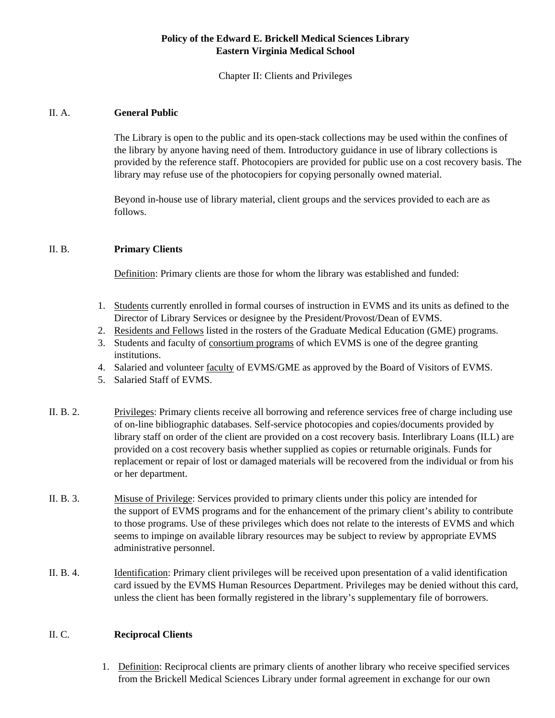## **Policy of the Edward E. Brickell Medical Sciences Library Eastern Virginia Medical School**

Chapter II: Clients and Privileges

## II. A. **General Public**

The Library is open to the public and its open-stack collections may be used within the confines of the library by anyone having need of them. Introductory guidance in use of library collections is provided by the reference staff. Photocopiers are provided for public use on a cost recovery basis. The library may refuse use of the photocopiers for copying personally owned material.

Beyond in-house use of library material, client groups and the services provided to each are as follows.

## II. B. **Primary Clients**

Definition: Primary clients are those for whom the library was established and funded:

- 1. Students currently enrolled in formal courses of instruction in EVMS and its units as defined to the Director of Library Services or designee by the President/Provost/Dean of EVMS.
- 2. Residents and Fellows listed in the rosters of the Graduate Medical Education (GME) programs.
- 3. Students and faculty of consortium programs of which EVMS is one of the degree granting institutions.
- 4. Salaried and volunteer faculty of EVMS/GME as approved by the Board of Visitors of EVMS.
- 5. Salaried Staff of EVMS.
- II. B. 2. Privileges: Primary clients receive all borrowing and reference services free of charge including use of on-line bibliographic databases. Self-service photocopies and copies/documents provided by library staff on order of the client are provided on a cost recovery basis. Interlibrary Loans (ILL) are provided on a cost recovery basis whether supplied as copies or returnable originals. Funds for replacement or repair of lost or damaged materials will be recovered from the individual or from his or her department.
- II. B. 3. Misuse of Privilege: Services provided to primary clients under this policy are intended for the support of EVMS programs and for the enhancement of the primary client's ability to contribute to those programs. Use of these privileges which does not relate to the interests of EVMS and which seems to impinge on available library resources may be subject to review by appropriate EVMS administrative personnel.
- II. B. 4. Identification: Primary client privileges will be received upon presentation of a valid identification card issued by the EVMS Human Resources Department. Privileges may be denied without this card, unless the client has been formally registered in the library's supplementary file of borrowers.

## II. C. **Reciprocal Clients**

1. Definition: Reciprocal clients are primary clients of another library who receive specified services from the Brickell Medical Sciences Library under formal agreement in exchange for our own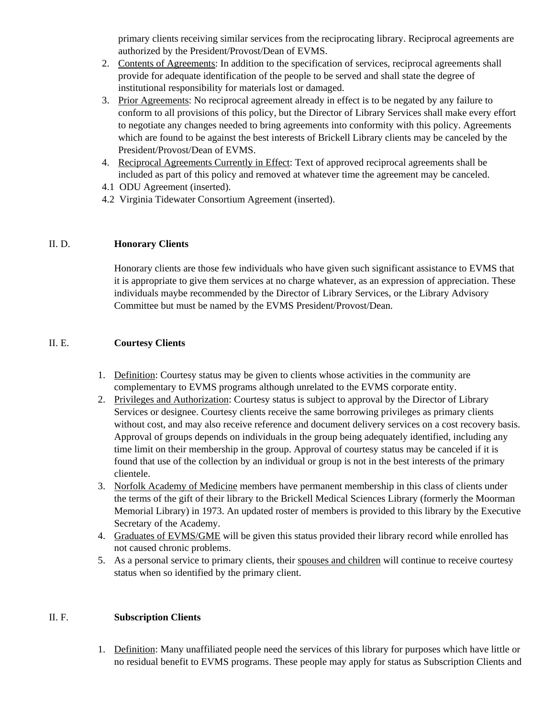primary clients receiving similar services from the reciprocating library. Reciprocal agreements are authorized by the President/Provost/Dean of EVMS.

- 2. Contents of Agreements: In addition to the specification of services, reciprocal agreements shall provide for adequate identification of the people to be served and shall state the degree of institutional responsibility for materials lost or damaged.
- 3. Prior Agreements: No reciprocal agreement already in effect is to be negated by any failure to conform to all provisions of this policy, but the Director of Library Services shall make every effort to negotiate any changes needed to bring agreements into conformity with this policy. Agreements which are found to be against the best interests of Brickell Library clients may be canceled by the President/Provost/Dean of EVMS.
- 4. Reciprocal Agreements Currently in Effect: Text of approved reciprocal agreements shall be included as part of this policy and removed at whatever time the agreement may be canceled.
- 4.1 ODU Agreement (inserted).
- 4.2 Virginia Tidewater Consortium Agreement (inserted).

## II. D. **Honorary Clients**

Honorary clients are those few individuals who have given such significant assistance to EVMS that it is appropriate to give them services at no charge whatever, as an expression of appreciation. These individuals maybe recommended by the Director of Library Services, or the Library Advisory Committee but must be named by the EVMS President/Provost/Dean.

## II. E. **Courtesy Clients**

- 1. Definition: Courtesy status may be given to clients whose activities in the community are complementary to EVMS programs although unrelated to the EVMS corporate entity.
- 2. Privileges and Authorization: Courtesy status is subject to approval by the Director of Library Services or designee. Courtesy clients receive the same borrowing privileges as primary clients without cost, and may also receive reference and document delivery services on a cost recovery basis. Approval of groups depends on individuals in the group being adequately identified, including any time limit on their membership in the group. Approval of courtesy status may be canceled if it is found that use of the collection by an individual or group is not in the best interests of the primary clientele.
- 3. Norfolk Academy of Medicine members have permanent membership in this class of clients under the terms of the gift of their library to the Brickell Medical Sciences Library (formerly the Moorman Memorial Library) in 1973. An updated roster of members is provided to this library by the Executive Secretary of the Academy.
- 4. Graduates of EVMS/GME will be given this status provided their library record while enrolled has not caused chronic problems.
- 5. As a personal service to primary clients, their spouses and children will continue to receive courtesy status when so identified by the primary client.

## II. F. **Subscription Clients**

1. Definition: Many unaffiliated people need the services of this library for purposes which have little or no residual benefit to EVMS programs. These people may apply for status as Subscription Clients and